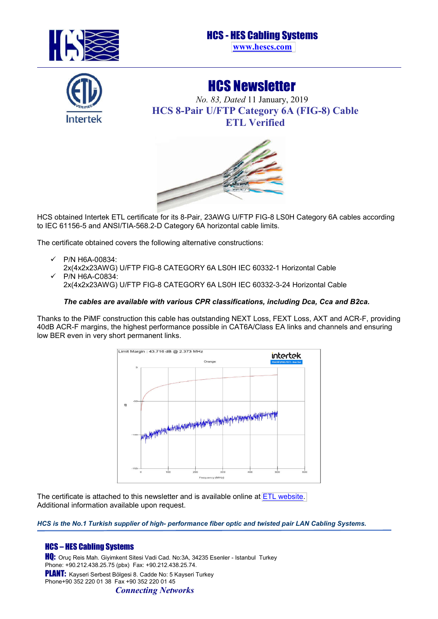

## HCS - HES Cabling Systems

**[www.hescs.com](http://hescs.com/en/)**



## HCS Newsletter

*No. 83, Dated* 11 January, 2019 **HCS 8-Pair U/FTP Category 6A (FIG-8) Cable ETL Verified** 



HCS obtained Intertek ETL certificate for its 8-Pair, 23AWG U/FTP FIG-8 LS0H Category 6A cables according to IEC 61156-5 and ANSI/TIA-568.2-D Category 6A horizontal cable limits.

The certificate obtained covers the following alternative constructions:

P/N H6A-00834:

2x(4x2x23AWG) U/FTP FIG-8 CATEGORY 6A LS0H IEC 60332-1 Horizontal Cable P/N H6A-C0834:

2x(4x2x23AWG) U/FTP FIG-8 CATEGORY 6A LS0H IEC 60332-3-24 Horizontal Cable

### *The cables are available with various CPR classifications, including Dca, Cca and B2ca.*

Thanks to the PiMF construction this cable has outstanding NEXT Loss, FEXT Loss, AXT and ACR-F, providing 40dB ACR-F margins, the highest performance possible in CAT6A/Class EA links and channels and ensuring low BER even in very short permanent links.



The certificate is attached to this newsletter and is available online at [ETL website.](http://www.intertek.com/ETL-Verified-Directory/Cabling-Products/HCS-HES-Cabling-Systems/) Additional information available upon request.

*HCS is the No.1 Turkish supplier of high- performance fiber optic and twisted pair LAN Cabling Systems.*

## HCS – HES Cabling Systems

HQ: Oruç Reis Mah. Giyimkent Sitesi Vadi Cad. No:3A, 34235 Esenler - Istanbul Turkey Phone: +90.212.438.25.75 (pbx) Fax: +90.212.438.25.74. PLANT: Kayseri Serbest Bölgesi 8. Cadde No: 5 Kayseri Turkey Phone+90 352 220 01 38 Fax +90 352 220 01 45 *Connecting Networks*